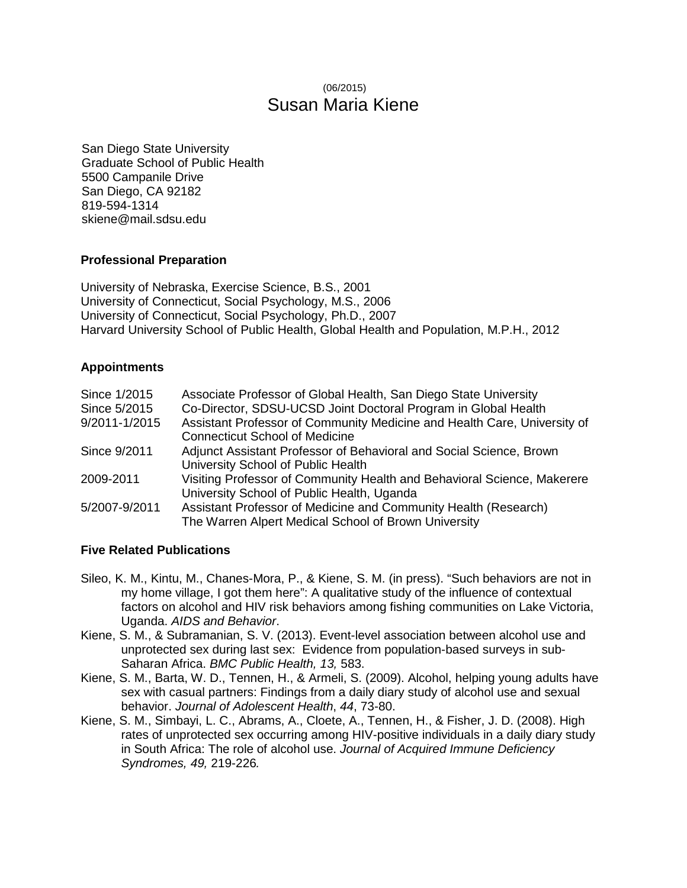# (06/2015) Susan Maria Kiene

San Diego State University Graduate School of Public Health 5500 Campanile Drive San Diego, CA 92182 819-594-1314 skiene@mail.sdsu.edu

## **Professional Preparation**

University of Nebraska, Exercise Science, B.S., 2001 University of Connecticut, Social Psychology, M.S., 2006 University of Connecticut, Social Psychology, Ph.D., 2007 Harvard University School of Public Health, Global Health and Population, M.P.H., 2012

## **Appointments**

| Since 1/2015  | Associate Professor of Global Health, San Diego State University         |
|---------------|--------------------------------------------------------------------------|
| Since 5/2015  | Co-Director, SDSU-UCSD Joint Doctoral Program in Global Health           |
| 9/2011-1/2015 | Assistant Professor of Community Medicine and Health Care, University of |
|               | <b>Connecticut School of Medicine</b>                                    |
| Since 9/2011  | Adjunct Assistant Professor of Behavioral and Social Science, Brown      |
|               | University School of Public Health                                       |
| 2009-2011     | Visiting Professor of Community Health and Behavioral Science, Makerere  |
|               | University School of Public Health, Uganda                               |
| 5/2007-9/2011 | Assistant Professor of Medicine and Community Health (Research)          |
|               | The Warren Alpert Medical School of Brown University                     |

## **Five Related Publications**

- Sileo, K. M., Kintu, M., Chanes-Mora, P., & Kiene, S. M. (in press). "Such behaviors are not in my home village, I got them here": A qualitative study of the influence of contextual factors on alcohol and HIV risk behaviors among fishing communities on Lake Victoria, Uganda. *AIDS and Behavior*.
- Kiene, S. M., & Subramanian, S. V. (2013). Event-level association between alcohol use and unprotected sex during last sex: Evidence from population-based surveys in sub-Saharan Africa. *BMC Public Health, 13,* 583.
- Kiene, S. M., Barta, W. D., Tennen, H., & Armeli, S. (2009). Alcohol, helping young adults have sex with casual partners: Findings from a daily diary study of alcohol use and sexual behavior. *Journal of Adolescent Health*, *44*, 73-80.
- Kiene, S. M., Simbayi, L. C., Abrams, A., Cloete, A., Tennen, H., & Fisher, J. D. (2008). High rates of unprotected sex occurring among HIV-positive individuals in a daily diary study in South Africa: The role of alcohol use. *Journal of Acquired Immune Deficiency Syndromes, 49,* 219-226*.*